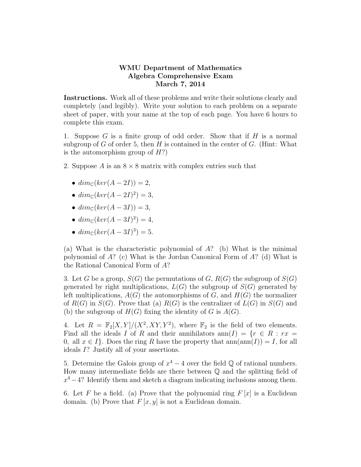## WMU Department of Mathematics Algebra Comprehensive Exam March 7, 2014

Instructions. Work all of these problems and write their solutions clearly and completely (and legibly). Write your solution to each problem on a separate sheet of paper, with your name at the top of each page. You have 6 hours to complete this exam.

1. Suppose  $G$  is a finite group of odd order. Show that if  $H$  is a normal subgroup of G of order 5, then H is contained in the center of G. (Hint: What is the automorphism group of  $H$ ?)

- 2. Suppose A is an  $8 \times 8$  matrix with complex entries such that
	- $dim_{\mathbb{C}}(ker(A-2I))=2,$
	- $dim_{\mathbb{C}}(ker(A-2I)^2)=3,$
	- $dim_{\mathbb{C}}(ker(A-3I))=3,$
	- $dim_{\mathbb{C}}(ker(A-3I)^2)=4,$
	- $dim_{\mathbb{C}}(ker(A-3I)^3) = 5.$

(a) What is the characteristic polynomial of  $A$ ? (b) What is the minimal polynomial of  $A$ ? (c) What is the Jordan Canonical Form of  $A$ ? (d) What is the Rational Canonical Form of A?

3. Let G be a group,  $S(G)$  the permutations of G,  $R(G)$  the subgroup of  $S(G)$ generated by right multiplications,  $L(G)$  the subgroup of  $S(G)$  generated by left multiplications,  $A(G)$  the automorphisms of G, and  $H(G)$  the normalizer of  $R(G)$  in  $S(G)$ . Prove that (a)  $R(G)$  is the centralizer of  $L(G)$  in  $S(G)$  and (b) the subgroup of  $H(G)$  fixing the identity of G is  $A(G)$ .

4. Let  $R = \mathbb{F}_2[X, Y]/(X^2, XY, Y^2)$ , where  $\mathbb{F}_2$  is the field of two elements. Find all the ideals I of R and their annihilators  $ann(I) = \{r \in R : rx =$ 0, all  $x \in I$ . Does the ring R have the property that  $ann(ann(I)) = I$ , for all ideals I? Justify all of your assertions.

5. Determine the Galois group of  $x^4 - 4$  over the field  $\mathbb Q$  of rational numbers. How many intermediate fields are there between Q and the splitting field of  $x^4 - 4$ ? Identify them and sketch a diagram indicating inclusions among them.

6. Let F be a field. (a) Prove that the polynomial ring  $F[x]$  is a Euclidean domain. (b) Prove that  $F[x, y]$  is not a Euclidean domain.